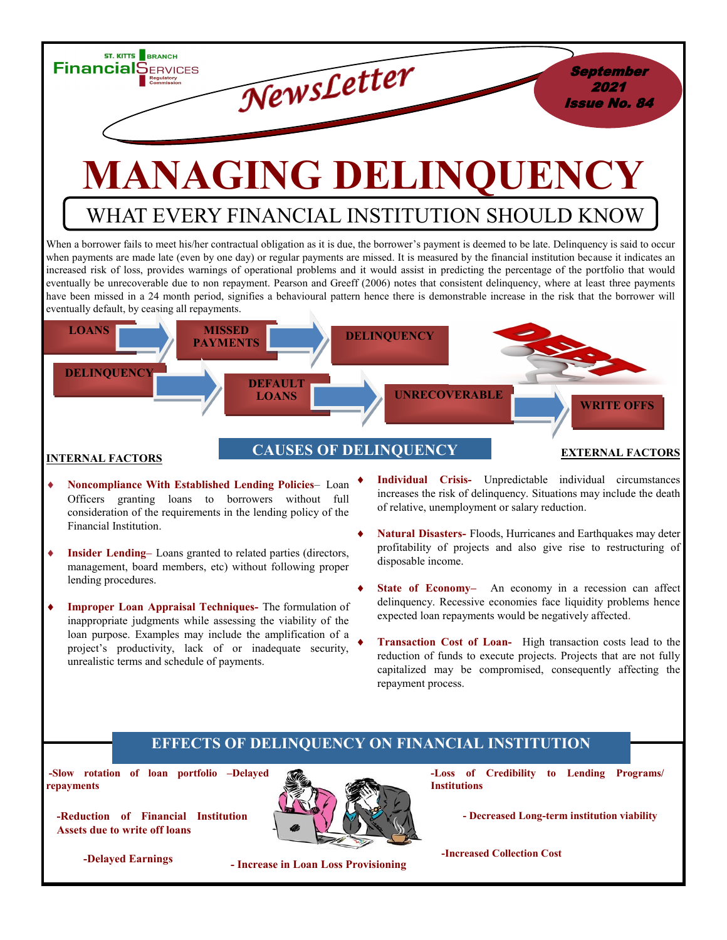

# **MANAGING DELINQUENCY**

## WHAT EVERY FINANCIAL INSTITUTION SHOULD KNOW

When a borrower fails to meet his/her contractual obligation as it is due, the borrower's payment is deemed to be late. Delinquency is said to occur when payments are made late (even by one day) or regular payments are missed. It is measured by the financial institution because it indicates an increased risk of loss, provides warnings of operational problems and it would assist in predicting the percentage of the portfolio that would eventually be unrecoverable due to non repayment. Pearson and Greeff (2006) notes that consistent delinquency, where at least three payments have been missed in a 24 month period, signifies a behavioural pattern hence there is demonstrable increase in the risk that the borrower will eventually default, by ceasing all repayments.



- **Noncompliance With Established Lending Policies** Loan Officers granting loans to borrowers without full consideration of the requirements in the lending policy of the Financial Institution.
- **Insider Lending–** Loans granted to related parties (directors, management, board members, etc) without following proper lending procedures.
- **Improper Loan Appraisal Techniques-** The formulation of inappropriate judgments while assessing the viability of the loan purpose. Examples may include the amplification of a project's productivity, lack of or inadequate security, unrealistic terms and schedule of payments.
- **Individual Crisis-** Unpredictable individual circumstances increases the risk of delinquency. Situations may include the death of relative, unemployment or salary reduction.
- **Natural Disasters-** Floods, Hurricanes and Earthquakes may deter profitability of projects and also give rise to restructuring of disposable income.
- **State of Economy–** An economy in a recession can affect delinquency. Recessive economies face liquidity problems hence expected loan repayments would be negatively affected.
- **Transaction Cost of Loan-** High transaction costs lead to the reduction of funds to execute projects. Projects that are not fully capitalized may be compromised, consequently affecting the repayment process.

#### **EFFECTS OF DELINQUENCY ON FINANCIAL INSTITUTION**

**-Slow rotation of loan portfolio –Delayed repayments** 

**-Reduction of Financial Institution Assets due to write off loans** 



**-Loss of Credibility to Lending Programs/ Institutions** 

**- Decreased Long-term institution viability** 

**- Increase in Loan Loss Provisioning -Delayed Earnings** 

**-Increased Collection Cost**